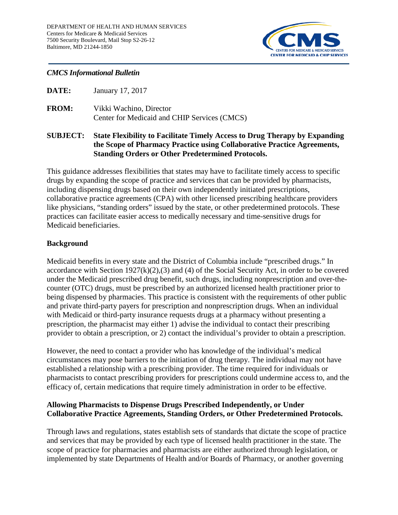

## *CMCS Informational Bulletin*

- **DATE:** January 17, 2017
- **FROM:** Vikki Wachino, Director Center for Medicaid and CHIP Services (CMCS)

## **SUBJECT: State Flexibility to Facilitate Timely Access to Drug Therapy by Expanding the Scope of Pharmacy Practice using Collaborative Practice Agreements, Standing Orders or Other Predetermined Protocols.**

This guidance addresses flexibilities that states may have to facilitate timely access to specific drugs by expanding the scope of practice and services that can be provided by pharmacists, including dispensing drugs based on their own independently initiated prescriptions, collaborative practice agreements (CPA) with other licensed prescribing healthcare providers like physicians, "standing orders" issued by the state, or other predetermined protocols. These practices can facilitate easier access to medically necessary and time-sensitive drugs for Medicaid beneficiaries.

# **Background**

Medicaid benefits in every state and the District of Columbia include "prescribed drugs." In accordance with Section  $1927(k)(2),(3)$  and (4) of the Social Security Act, in order to be covered under the Medicaid prescribed drug benefit, such drugs, including nonprescription and over-thecounter (OTC) drugs, must be prescribed by an authorized licensed health practitioner prior to being dispensed by pharmacies. This practice is consistent with the requirements of other public and private third-party payers for prescription and nonprescription drugs. When an individual with Medicaid or third-party insurance requests drugs at a pharmacy without presenting a prescription, the pharmacist may either 1) advise the individual to contact their prescribing provider to obtain a prescription, or 2) contact the individual's provider to obtain a prescription.

However, the need to contact a provider who has knowledge of the individual's medical circumstances may pose barriers to the initiation of drug therapy. The individual may not have established a relationship with a prescribing provider. The time required for individuals or pharmacists to contact prescribing providers for prescriptions could undermine access to, and the efficacy of, certain medications that require timely administration in order to be effective.

# **Allowing Pharmacists to Dispense Drugs Prescribed Independently, or Under Collaborative Practice Agreements, Standing Orders, or Other Predetermined Protocols.**

Through laws and regulations, states establish sets of standards that dictate the scope of practice and services that may be provided by each type of licensed health practitioner in the state. The scope of practice for pharmacies and pharmacists are either authorized through legislation, or implemented by state Departments of Health and/or Boards of Pharmacy, or another governing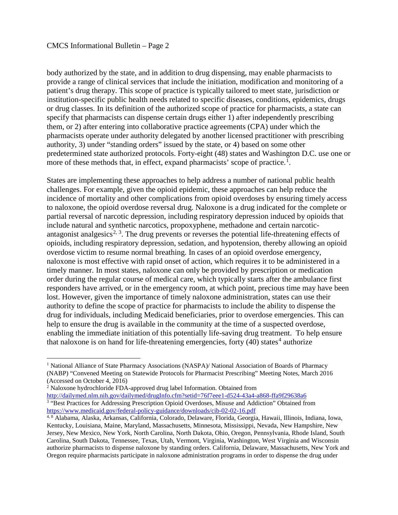#### CMCS Informational Bulletin – Page 2

body authorized by the state, and in addition to drug dispensing, may enable pharmacists to provide a range of clinical services that include the initiation, modification and monitoring of a patient's drug therapy. This scope of practice is typically tailored to meet state, jurisdiction or institution-specific public health needs related to specific diseases, conditions, epidemics, drugs or drug classes. In its definition of the authorized scope of practice for pharmacists, a state can specify that pharmacists can dispense certain drugs either 1) after independently prescribing them, or 2) after entering into collaborative practice agreements (CPA) under which the pharmacists operate under authority delegated by another licensed practitioner with prescribing authority, 3) under "standing orders" issued by the state, or 4) based on some other predetermined state authorized protocols. Forty-eight (48) states and Washington D.C. use one or more of these methods that, in effect, expand pharmacists' scope of practice.<sup>[1](#page-1-0)</sup>.

States are implementing these approaches to help address a number of national public health challenges. For example, given the opioid epidemic, these approaches can help reduce the incidence of mortality and other complications from opioid overdoses by ensuring timely access to naloxone, the opioid overdose reversal drug. Naloxone is a drug indicated for the complete or partial reversal of narcotic depression, including respiratory depression induced by opioids that include natural and synthetic narcotics, propoxyphene, methadone and certain narcotic-antagonist analgesics<sup>[2](#page-1-1), [3](#page-1-2)</sup>. The drug prevents or reverses the potential life-threatening effects of opioids, including respiratory depression, sedation, and hypotension, thereby allowing an opioid overdose victim to resume normal breathing. In cases of an opioid overdose emergency, naloxone is most effective with rapid onset of action, which requires it to be administered in a timely manner. In most states, naloxone can only be provided by prescription or medication order during the regular course of medical care, which typically starts after the ambulance first responders have arrived, or in the emergency room, at which point, precious time may have been lost. However, given the importance of timely naloxone administration, states can use their authority to define the scope of practice for pharmacists to include the ability to dispense the drug for individuals, including Medicaid beneficiaries, prior to overdose emergencies. This can help to ensure the drug is available in the community at the time of a suspected overdose, enabling the immediate initiation of this potentially life-saving drug treatment. To help ensure that naloxone is on hand for life-threatening emergencies, forty  $(40)$  $(40)$  $(40)$  states<sup>4</sup> authorize

<span id="page-1-0"></span><sup>&</sup>lt;sup>1</sup> National Alliance of State Pharmacy Associations (NASPA)/ National Association of Boards of Pharmacy (NABP) "Convened Meeting on Statewide Protocols for Pharmacist Prescribing" Meeting Notes, March 2016 (Accessed on October 4, 2016)

<span id="page-1-1"></span><sup>2</sup> Naloxone hydrochloride FDA-approved drug label Information. Obtained from

<span id="page-1-2"></span><http://dailymed.nlm.nih.gov/dailymed/drugInfo.cfm?setid=76f7eee1-d524-43a4-a868-ffa9f29638a6> <sup>3</sup> "Best Practices for Addressing Prescription Opioid Overdoses, Misuse and Addiction" Obtained from <https://www.medicaid.gov/federal-policy-guidance/downloads/cib-02-02-16.pdf>

<span id="page-1-3"></span><sup>4, 8</sup> Alabama, Alaska, Arkansas, California, Colorado, Delaware, Florida, Georgia, Hawaii, Illinois, Indiana, Iowa, Kentucky, Louisiana, Maine, Maryland, Massachusetts, Minnesota, Mississippi, Nevada, New Hampshire, New Jersey, New Mexico, New York, North Carolina, North Dakota, Ohio, Oregon, Pennsylvania, Rhode Island, South Carolina, South Dakota, Tennessee, Texas, Utah, Vermont, Virginia, Washington, West Virginia and Wisconsin authorize pharmacists to dispense naloxone by standing orders. California, Delaware, Massachusetts, New York and Oregon require pharmacists participate in naloxone administration programs in order to dispense the drug under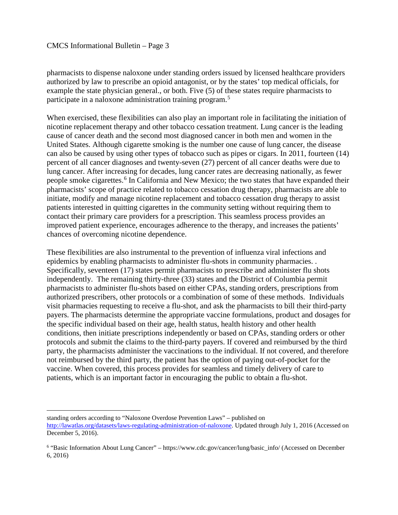### CMCS Informational Bulletin – Page 3

pharmacists to dispense naloxone under standing orders issued by licensed healthcare providers authorized by law to prescribe an opioid antagonist, or by the states' top medical officials, for example the state physician general., or both. Five (5) of these states require pharmacists to participate in a naloxone administration training program.<sup>[5](#page-2-0)</sup>

When exercised, these flexibilities can also play an important role in facilitating the initiation of nicotine replacement therapy and other tobacco cessation treatment. Lung cancer is the leading cause of cancer death and the second most diagnosed cancer in both men and women in the United States. Although cigarette smoking is the number one cause of lung cancer, the disease can also be caused by using other types of tobacco such as pipes or cigars. In 2011, fourteen (14) percent of all cancer diagnoses and twenty-seven (27) percent of all cancer deaths were due to lung cancer. After increasing for decades, lung cancer rates are decreasing nationally, as fewer people smoke cigarettes.<sup>[6](#page-2-1)</sup> In California and New Mexico; the two states that have expanded their pharmacists' scope of practice related to tobacco cessation drug therapy, pharmacists are able to initiate, modify and manage nicotine replacement and tobacco cessation drug therapy to assist patients interested in quitting cigarettes in the community setting without requiring them to contact their primary care providers for a prescription. This seamless process provides an improved patient experience, encourages adherence to the therapy, and increases the patients' chances of overcoming nicotine dependence.

These flexibilities are also instrumental to the prevention of influenza viral infections and epidemics by enabling pharmacists to administer flu-shots in community pharmacies. . Specifically, seventeen (17) states permit pharmacists to prescribe and administer flu shots independently. The remaining thirty-three (33) states and the District of Columbia permit pharmacists to administer flu-shots based on either CPAs, standing orders, prescriptions from authorized prescribers, other protocols or a combination of some of these methods. Individuals visit pharmacies requesting to receive a flu-shot, and ask the pharmacists to bill their third-party payers. The pharmacists determine the appropriate vaccine formulations, product and dosages for the specific individual based on their age, health status, health history and other health conditions, then initiate prescriptions independently or based on CPAs, standing orders or other protocols and submit the claims to the third-party payers. If covered and reimbursed by the third party, the pharmacists administer the vaccinations to the individual. If not covered, and therefore not reimbursed by the third party, the patient has the option of paying out-of-pocket for the vaccine. When covered, this process provides for seamless and timely delivery of care to patients, which is an important factor in encouraging the public to obtain a flu-shot.

 $\overline{a}$ standing orders according to "Naloxone Overdose Prevention Laws" – published on [http://lawatlas.org/datasets/laws-regulating-administration-of-naloxone.](http://lawatlas.org/datasets/laws-regulating-administration-of-naloxone) Updated through July 1, 2016 (Accessed on December 5, 2016).

<span id="page-2-1"></span><span id="page-2-0"></span><sup>6</sup> "Basic Information About Lung Cancer" – https://www.cdc.gov/cancer/lung/basic\_info/ (Accessed on December 6, 2016)